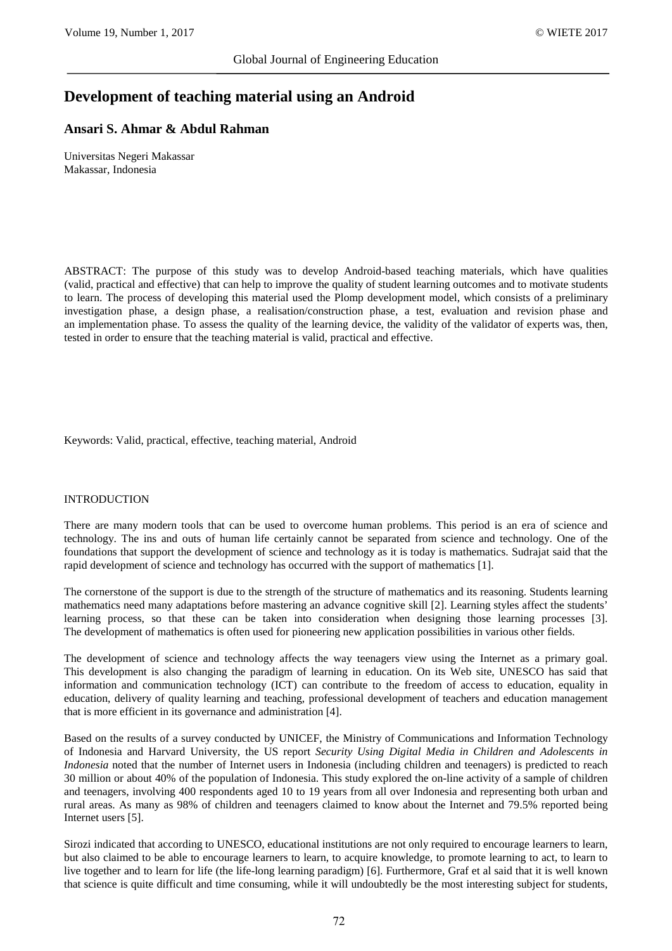# **Development of teaching material using an Android**

# **Ansari S. Ahmar & Abdul Rahman**

Universitas Negeri Makassar Makassar, Indonesia

ABSTRACT: The purpose of this study was to develop Android-based teaching materials, which have qualities (valid, practical and effective) that can help to improve the quality of student learning outcomes and to motivate students to learn. The process of developing this material used the Plomp development model, which consists of a preliminary investigation phase, a design phase, a realisation/construction phase, a test, evaluation and revision phase and an implementation phase. To assess the quality of the learning device, the validity of the validator of experts was, then, tested in order to ensure that the teaching material is valid, practical and effective.

Keywords: Valid, practical, effective, teaching material, Android

#### INTRODUCTION

There are many modern tools that can be used to overcome human problems. This period is an era of science and technology. The ins and outs of human life certainly cannot be separated from science and technology. One of the foundations that support the development of science and technology as it is today is mathematics. Sudrajat said that the rapid development of science and technology has occurred with the support of mathematics [1].

The cornerstone of the support is due to the strength of the structure of mathematics and its reasoning. Students learning mathematics need many adaptations before mastering an advance cognitive skill [2]. Learning styles affect the students' learning process, so that these can be taken into consideration when designing those learning processes [3]. The development of mathematics is often used for pioneering new application possibilities in various other fields.

The development of science and technology affects the way teenagers view using the Internet as a primary goal. This development is also changing the paradigm of learning in education. On its Web site, UNESCO has said that information and communication technology (ICT) can contribute to the freedom of access to education, equality in education, delivery of quality learning and teaching, professional development of teachers and education management that is more efficient in its governance and administration [4].

Based on the results of a survey conducted by UNICEF, the Ministry of Communications and Information Technology of Indonesia and Harvard University, the US report *Security Using Digital Media in Children and Adolescents in Indonesia* noted that the number of Internet users in Indonesia (including children and teenagers) is predicted to reach 30 million or about 40% of the population of Indonesia. This study explored the on-line activity of a sample of children and teenagers, involving 400 respondents aged 10 to 19 years from all over Indonesia and representing both urban and rural areas. As many as 98% of children and teenagers claimed to know about the Internet and 79.5% reported being Internet users [5].

Sirozi indicated that according to UNESCO, educational institutions are not only required to encourage learners to learn, but also claimed to be able to encourage learners to learn, to acquire knowledge, to promote learning to act, to learn to live together and to learn for life (the life-long learning paradigm) [6]. Furthermore, Graf et al said that it is well known that science is quite difficult and time consuming, while it will undoubtedly be the most interesting subject for students,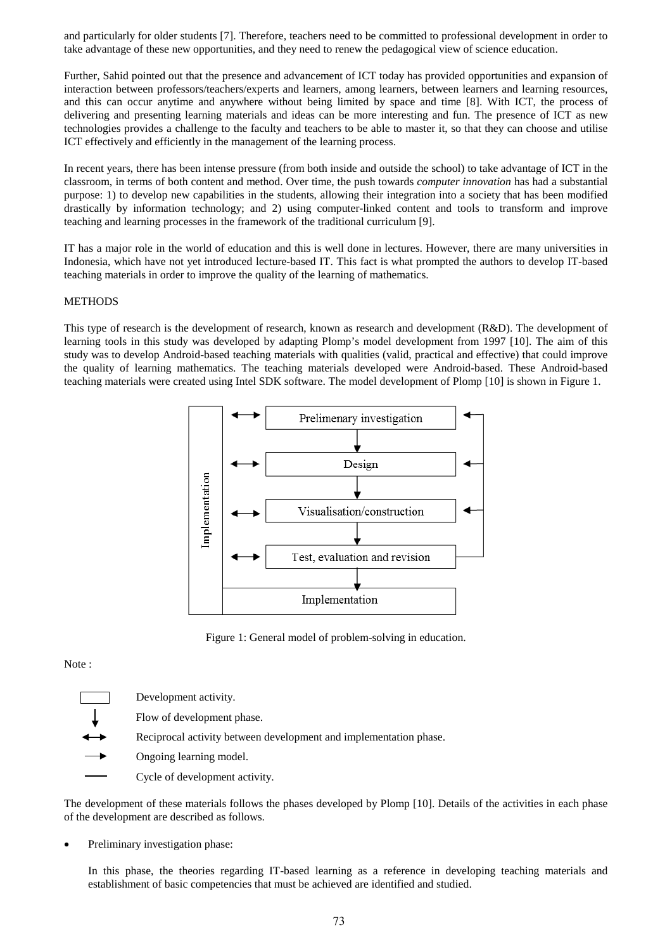and particularly for older students [7]. Therefore, teachers need to be committed to professional development in order to take advantage of these new opportunities, and they need to renew the pedagogical view of science education.

Further, Sahid pointed out that the presence and advancement of ICT today has provided opportunities and expansion of interaction between professors/teachers/experts and learners, among learners, between learners and learning resources, and this can occur anytime and anywhere without being limited by space and time [8]. With ICT, the process of delivering and presenting learning materials and ideas can be more interesting and fun. The presence of ICT as new technologies provides a challenge to the faculty and teachers to be able to master it, so that they can choose and utilise ICT effectively and efficiently in the management of the learning process.

In recent years, there has been intense pressure (from both inside and outside the school) to take advantage of ICT in the classroom, in terms of both content and method. Over time, the push towards *computer innovation* has had a substantial purpose: 1) to develop new capabilities in the students, allowing their integration into a society that has been modified drastically by information technology; and 2) using computer-linked content and tools to transform and improve teaching and learning processes in the framework of the traditional curriculum [9].

IT has a major role in the world of education and this is well done in lectures. However, there are many universities in Indonesia, which have not yet introduced lecture-based IT. This fact is what prompted the authors to develop IT-based teaching materials in order to improve the quality of the learning of mathematics.

#### **METHODS**

This type of research is the development of research, known as research and development (R&D). The development of learning tools in this study was developed by adapting Plomp's model development from 1997 [10]. The aim of this study was to develop Android-based teaching materials with qualities (valid, practical and effective) that could improve the quality of learning mathematics. The teaching materials developed were Android-based. These Android-based teaching materials were created using Intel SDK software. The model development of Plomp [10] is shown in Figure 1.



Figure 1: General model of problem-solving in education.

#### Note :

Development activity. Flow of development phase. Reciprocal activity between development and implementation phase. Ongoing learning model. Cycle of development activity.

The development of these materials follows the phases developed by Plomp [10]. Details of the activities in each phase of the development are described as follows.

Preliminary investigation phase:

In this phase, the theories regarding IT-based learning as a reference in developing teaching materials and establishment of basic competencies that must be achieved are identified and studied.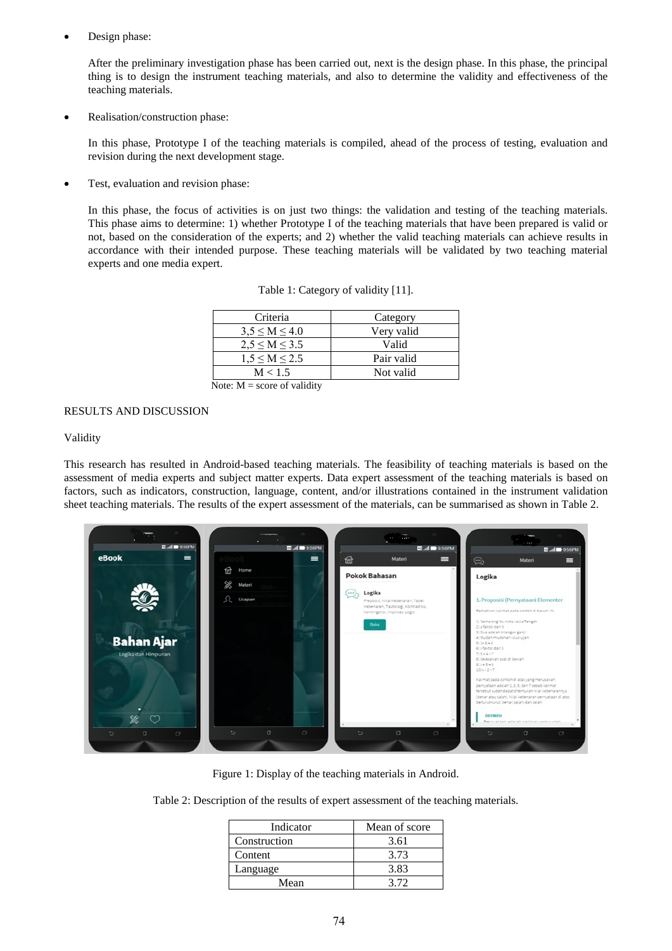Design phase:

After the preliminary investigation phase has been carried out, next is the design phase. In this phase, the principal thing is to design the instrument teaching materials, and also to determine the validity and effectiveness of the teaching materials.

• Realisation/construction phase:

In this phase, Prototype I of the teaching materials is compiled, ahead of the process of testing, evaluation and revision during the next development stage.

• Test, evaluation and revision phase:

In this phase, the focus of activities is on just two things: the validation and testing of the teaching materials. This phase aims to determine: 1) whether Prototype I of the teaching materials that have been prepared is valid or not, based on the consideration of the experts; and 2) whether the valid teaching materials can achieve results in accordance with their intended purpose. These teaching materials will be validated by two teaching material experts and one media expert.

| Criteria            | Category   |
|---------------------|------------|
| $3.5 \le M \le 4.0$ | Very valid |
| $2.5 \le M \le 3.5$ | Valid      |
| $1.5 \le M \le 2.5$ | Pair valid |
| M < 1.5             | Not valid  |

Table 1: Category of validity [11].

Note:  $M =$  score of validity

#### RESULTS AND DISCUSSION

#### Validity

This research has resulted in Android-based teaching materials. The feasibility of teaching materials is based on the assessment of media experts and subject matter experts. Data expert assessment of the teaching materials is based on factors, such as indicators, construction, language, content, and/or illustrations contained in the instrument validation sheet teaching materials. The results of the expert assessment of the materials, can be summarised as shown in Table 2.



Figure 1: Display of the teaching materials in Android.

Table 2: Description of the results of expert assessment of the teaching materials.

| Indicator    | Mean of score |  |  |  |
|--------------|---------------|--|--|--|
| Construction | 3.61          |  |  |  |
| Content      | 3.73          |  |  |  |
| Language     | 3.83          |  |  |  |
| Mean         | 3 72          |  |  |  |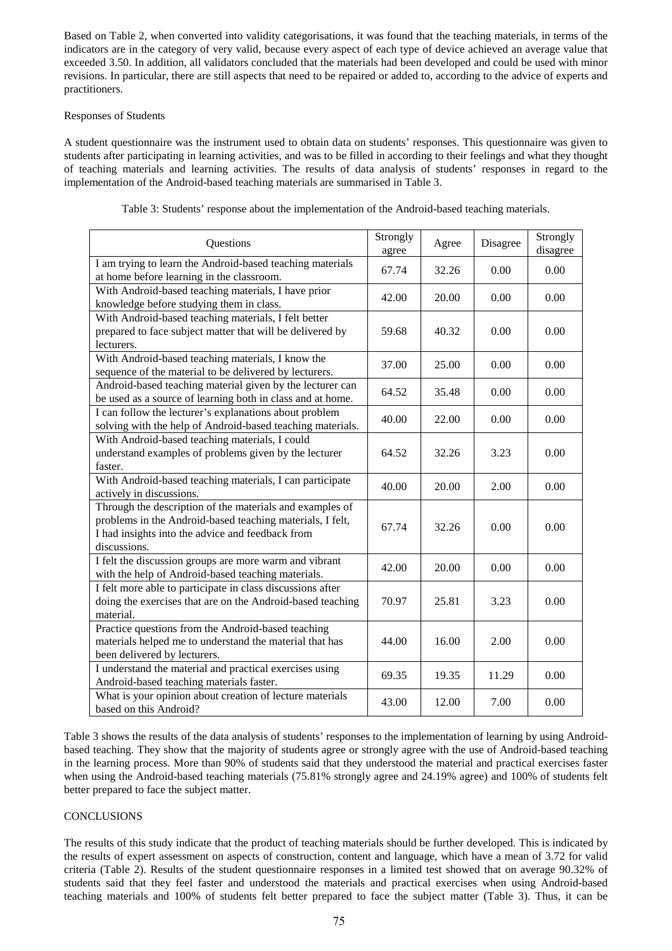Based on Table 2, when converted into validity categorisations, it was found that the teaching materials, in terms of the indicators are in the category of very valid, because every aspect of each type of device achieved an average value that exceeded 3.50. In addition, all validators concluded that the materials had been developed and could be used with minor revisions. In particular, there are still aspects that need to be repaired or added to, according to the advice of experts and practitioners.

### Responses of Students

A student questionnaire was the instrument used to obtain data on students' responses. This questionnaire was given to students after participating in learning activities, and was to be filled in according to their feelings and what they thought of teaching materials and learning activities. The results of data analysis of students' responses in regard to the implementation of the Android-based teaching materials are summarised in Table 3.

| Questions                                                                                                                                                                                 | Strongly<br>agree | Agree | Disagree | Strongly<br>disagree |
|-------------------------------------------------------------------------------------------------------------------------------------------------------------------------------------------|-------------------|-------|----------|----------------------|
| I am trying to learn the Android-based teaching materials<br>at home before learning in the classroom.                                                                                    | 67.74             | 32.26 | 0.00     | 0.00                 |
| With Android-based teaching materials, I have prior<br>knowledge before studying them in class.                                                                                           | 42.00             | 20.00 | 0.00     | 0.00                 |
| With Android-based teaching materials, I felt better<br>prepared to face subject matter that will be delivered by<br>lecturers.                                                           | 59.68             | 40.32 | 0.00     | 0.00                 |
| With Android-based teaching materials, I know the<br>sequence of the material to be delivered by lecturers.                                                                               | 37.00             | 25.00 | 0.00     | 0.00                 |
| Android-based teaching material given by the lecturer can<br>be used as a source of learning both in class and at home.                                                                   | 64.52             | 35.48 | 0.00     | 0.00                 |
| I can follow the lecturer's explanations about problem<br>solving with the help of Android-based teaching materials.                                                                      | 40.00             | 22.00 | 0.00     | 0.00                 |
| With Android-based teaching materials, I could<br>understand examples of problems given by the lecturer<br>faster.                                                                        | 64.52             | 32.26 | 3.23     | 0.00                 |
| With Android-based teaching materials, I can participate<br>actively in discussions.                                                                                                      | 40.00             | 20.00 | 2.00     | 0.00                 |
| Through the description of the materials and examples of<br>problems in the Android-based teaching materials, I felt,<br>I had insights into the advice and feedback from<br>discussions. | 67.74             | 32.26 | 0.00     | 0.00                 |
| I felt the discussion groups are more warm and vibrant<br>with the help of Android-based teaching materials.                                                                              | 42.00             | 20.00 | 0.00     | 0.00                 |
| I felt more able to participate in class discussions after<br>doing the exercises that are on the Android-based teaching<br>material.                                                     | 70.97             | 25.81 | 3.23     | 0.00                 |
| Practice questions from the Android-based teaching<br>materials helped me to understand the material that has<br>been delivered by lecturers.                                             | 44.00             | 16.00 | 2.00     | 0.00                 |
| I understand the material and practical exercises using<br>Android-based teaching materials faster.                                                                                       | 69.35             | 19.35 | 11.29    | 0.00                 |
| What is your opinion about creation of lecture materials<br>based on this Android?                                                                                                        | 43.00             | 12.00 | 7.00     | 0.00                 |

Table 3: Students' response about the implementation of the Android-based teaching materials.

Table 3 shows the results of the data analysis of students' responses to the implementation of learning by using Androidbased teaching. They show that the majority of students agree or strongly agree with the use of Android-based teaching in the learning process. More than 90% of students said that they understood the material and practical exercises faster when using the Android-based teaching materials (75.81% strongly agree and 24.19% agree) and 100% of students felt better prepared to face the subject matter.

# **CONCLUSIONS**

The results of this study indicate that the product of teaching materials should be further developed. This is indicated by the results of expert assessment on aspects of construction, content and language, which have a mean of 3.72 for valid criteria (Table 2). Results of the student questionnaire responses in a limited test showed that on average 90.32% of students said that they feel faster and understood the materials and practical exercises when using Android-based teaching materials and 100% of students felt better prepared to face the subject matter (Table 3). Thus, it can be